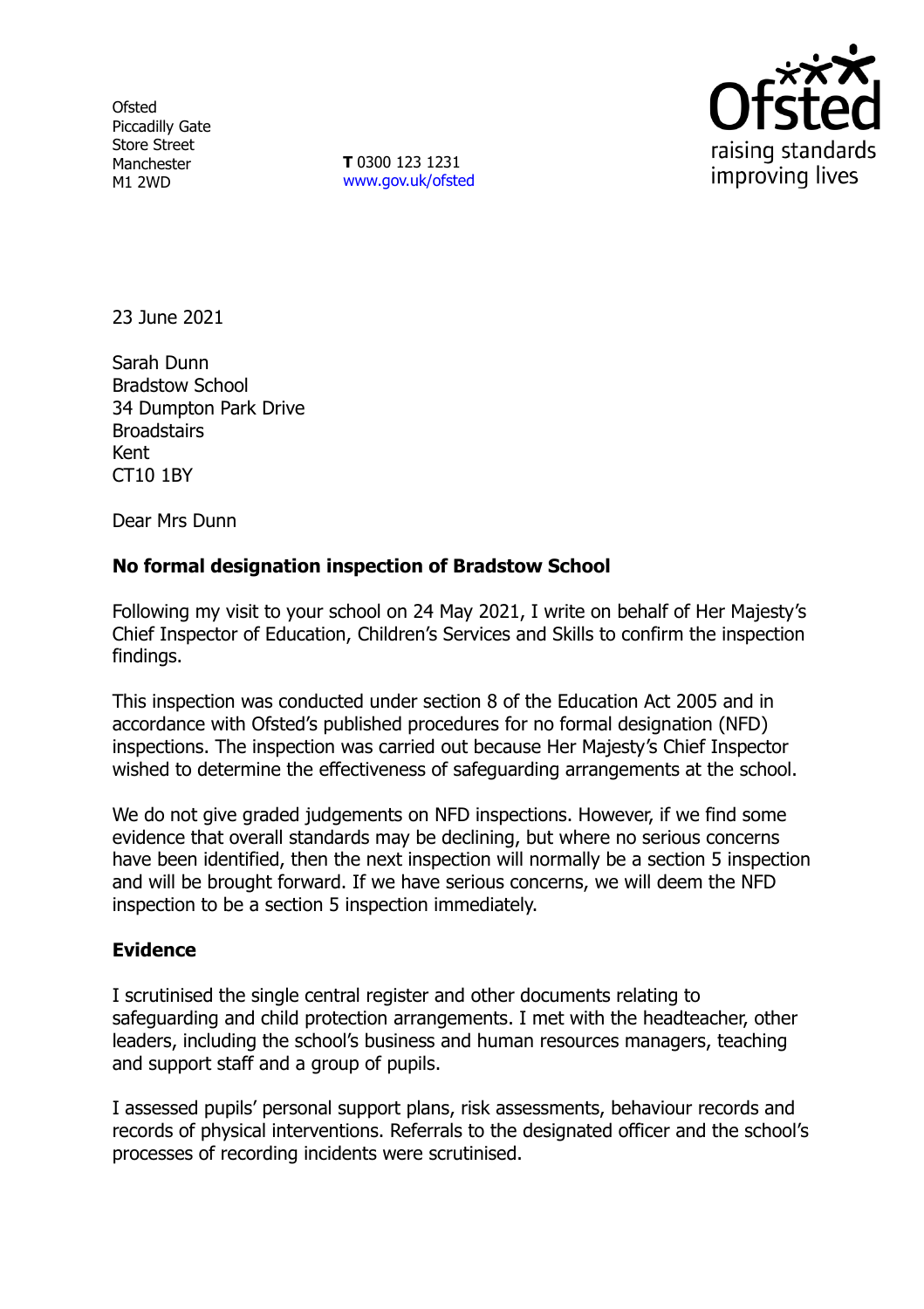**Ofsted** Piccadilly Gate Store Street Manchester M1 2WD

**T** 0300 123 1231 [www.gov.uk/ofsted](http://www.gov.uk/ofsted)



23 June 2021

Sarah Dunn Bradstow School 34 Dumpton Park Drive **Broadstairs** Kent CT10 1BY

Dear Mrs Dunn

# **No formal designation inspection of Bradstow School**

Following my visit to your school on 24 May 2021, I write on behalf of Her Majesty's Chief Inspector of Education, Children's Services and Skills to confirm the inspection findings.

This inspection was conducted under section 8 of the Education Act 2005 and in accordance with Ofsted's published procedures for no formal designation (NFD) inspections. The inspection was carried out because Her Majesty's Chief Inspector wished to determine the effectiveness of safeguarding arrangements at the school.

We do not give graded judgements on NFD inspections. However, if we find some evidence that overall standards may be declining, but where no serious concerns have been identified, then the next inspection will normally be a section 5 inspection and will be brought forward. If we have serious concerns, we will deem the NFD inspection to be a section 5 inspection immediately.

## **Evidence**

I scrutinised the single central register and other documents relating to safeguarding and child protection arrangements. I met with the headteacher, other leaders, including the school's business and human resources managers, teaching and support staff and a group of pupils.

I assessed pupils' personal support plans, risk assessments, behaviour records and records of physical interventions. Referrals to the designated officer and the school's processes of recording incidents were scrutinised.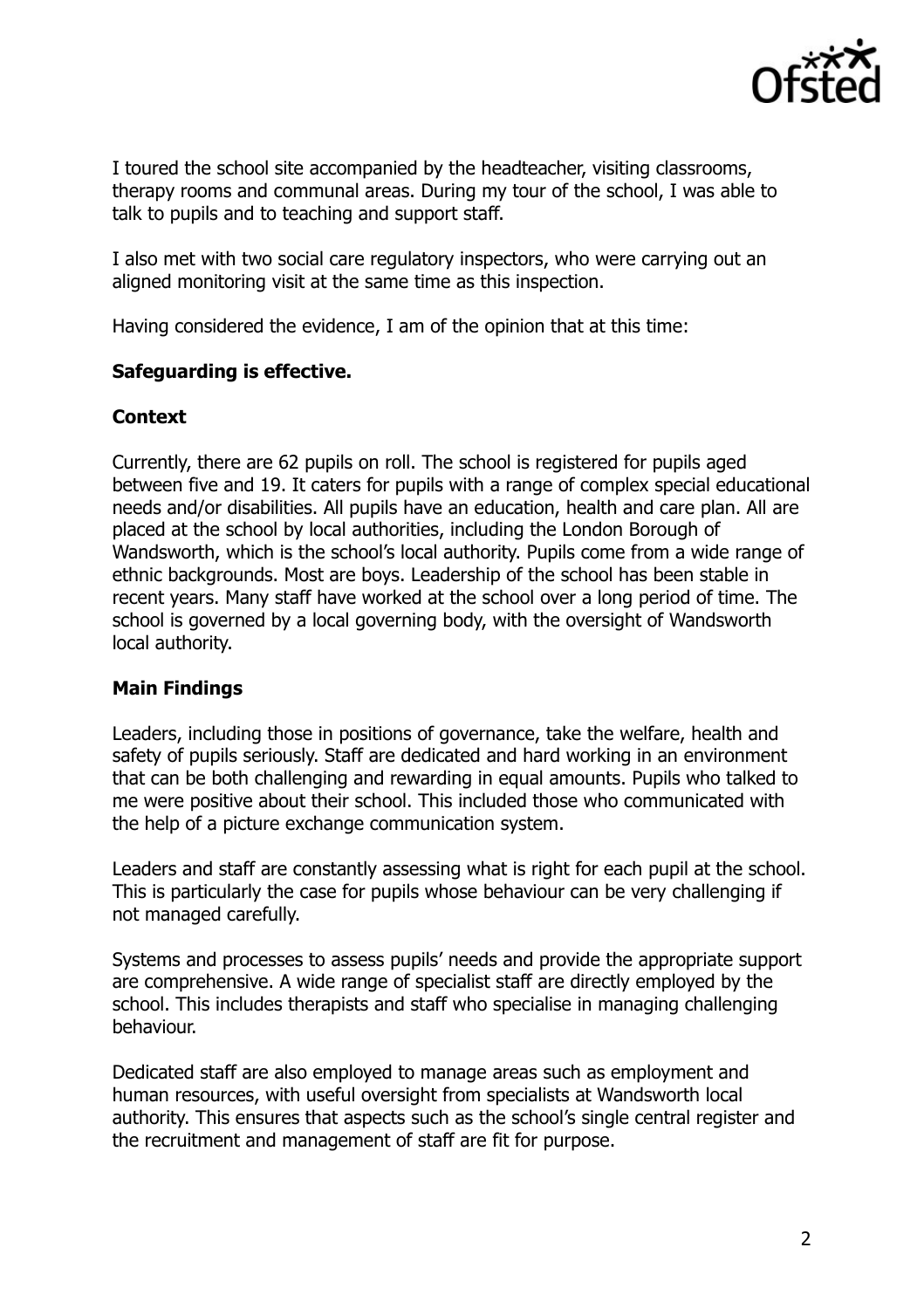

I toured the school site accompanied by the headteacher, visiting classrooms, therapy rooms and communal areas. During my tour of the school, I was able to talk to pupils and to teaching and support staff.

I also met with two social care regulatory inspectors, who were carrying out an aligned monitoring visit at the same time as this inspection.

Having considered the evidence, I am of the opinion that at this time:

## **Safeguarding is effective.**

### **Context**

Currently, there are 62 pupils on roll. The school is registered for pupils aged between five and 19. It caters for pupils with a range of complex special educational needs and/or disabilities. All pupils have an education, health and care plan. All are placed at the school by local authorities, including the London Borough of Wandsworth, which is the school's local authority. Pupils come from a wide range of ethnic backgrounds. Most are boys. Leadership of the school has been stable in recent years. Many staff have worked at the school over a long period of time. The school is governed by a local governing body, with the oversight of Wandsworth local authority.

## **Main Findings**

Leaders, including those in positions of governance, take the welfare, health and safety of pupils seriously. Staff are dedicated and hard working in an environment that can be both challenging and rewarding in equal amounts. Pupils who talked to me were positive about their school. This included those who communicated with the help of a picture exchange communication system.

Leaders and staff are constantly assessing what is right for each pupil at the school. This is particularly the case for pupils whose behaviour can be very challenging if not managed carefully.

Systems and processes to assess pupils' needs and provide the appropriate support are comprehensive. A wide range of specialist staff are directly employed by the school. This includes therapists and staff who specialise in managing challenging behaviour.

Dedicated staff are also employed to manage areas such as employment and human resources, with useful oversight from specialists at Wandsworth local authority. This ensures that aspects such as the school's single central register and the recruitment and management of staff are fit for purpose.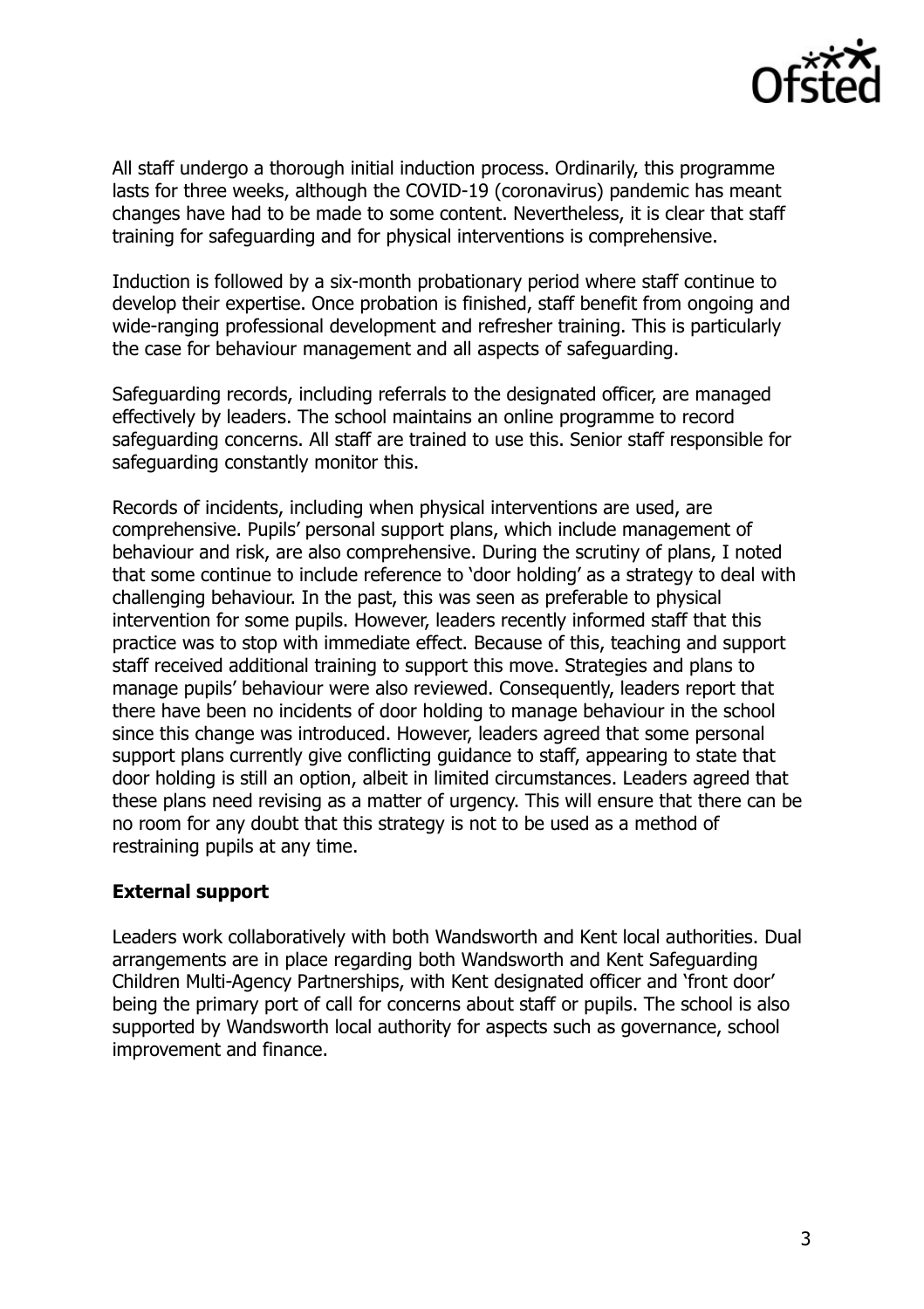

All staff undergo a thorough initial induction process. Ordinarily, this programme lasts for three weeks, although the COVID-19 (coronavirus) pandemic has meant changes have had to be made to some content. Nevertheless, it is clear that staff training for safeguarding and for physical interventions is comprehensive.

Induction is followed by a six-month probationary period where staff continue to develop their expertise. Once probation is finished, staff benefit from ongoing and wide-ranging professional development and refresher training. This is particularly the case for behaviour management and all aspects of safeguarding.

Safeguarding records, including referrals to the designated officer, are managed effectively by leaders. The school maintains an online programme to record safeguarding concerns. All staff are trained to use this. Senior staff responsible for safeguarding constantly monitor this.

Records of incidents, including when physical interventions are used, are comprehensive. Pupils' personal support plans, which include management of behaviour and risk, are also comprehensive. During the scrutiny of plans, I noted that some continue to include reference to 'door holding' as a strategy to deal with challenging behaviour. In the past, this was seen as preferable to physical intervention for some pupils. However, leaders recently informed staff that this practice was to stop with immediate effect. Because of this, teaching and support staff received additional training to support this move. Strategies and plans to manage pupils' behaviour were also reviewed. Consequently, leaders report that there have been no incidents of door holding to manage behaviour in the school since this change was introduced. However, leaders agreed that some personal support plans currently give conflicting guidance to staff, appearing to state that door holding is still an option, albeit in limited circumstances. Leaders agreed that these plans need revising as a matter of urgency. This will ensure that there can be no room for any doubt that this strategy is not to be used as a method of restraining pupils at any time.

## **External support**

Leaders work collaboratively with both Wandsworth and Kent local authorities. Dual arrangements are in place regarding both Wandsworth and Kent Safeguarding Children Multi-Agency Partnerships, with Kent designated officer and 'front door' being the primary port of call for concerns about staff or pupils. The school is also supported by Wandsworth local authority for aspects such as governance, school improvement and finance.